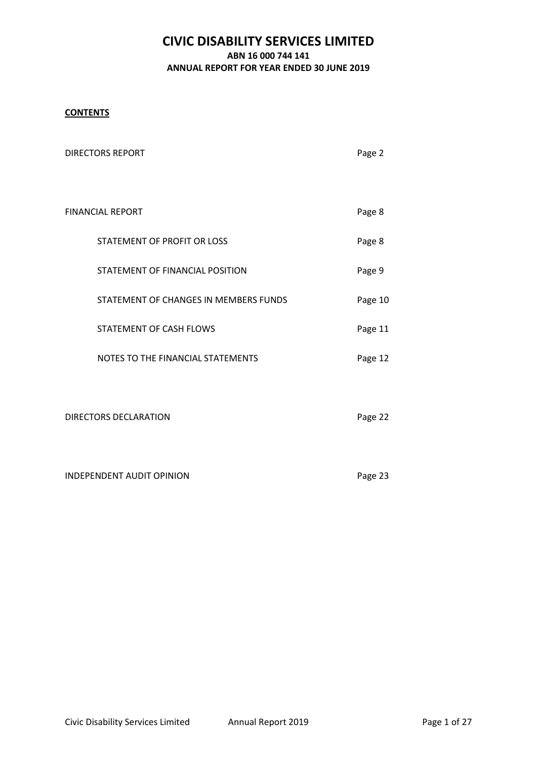## **CONTENTS**

| <b>DIRECTORS REPORT</b>               | Page 2  |
|---------------------------------------|---------|
|                                       |         |
| <b>FINANCIAL REPORT</b>               | Page 8  |
| STATEMENT OF PROFIT OR LOSS           | Page 8  |
| STATEMENT OF FINANCIAL POSITION       | Page 9  |
| STATEMENT OF CHANGES IN MEMBERS FUNDS | Page 10 |
| STATEMENT OF CASH FLOWS               | Page 11 |
| NOTES TO THE FINANCIAL STATEMENTS     | Page 12 |
|                                       |         |
| <b>DIRECTORS DECLARATION</b>          | Page 22 |
|                                       |         |
| <b>INDEPENDENT AUDIT OPINION</b>      | Page 23 |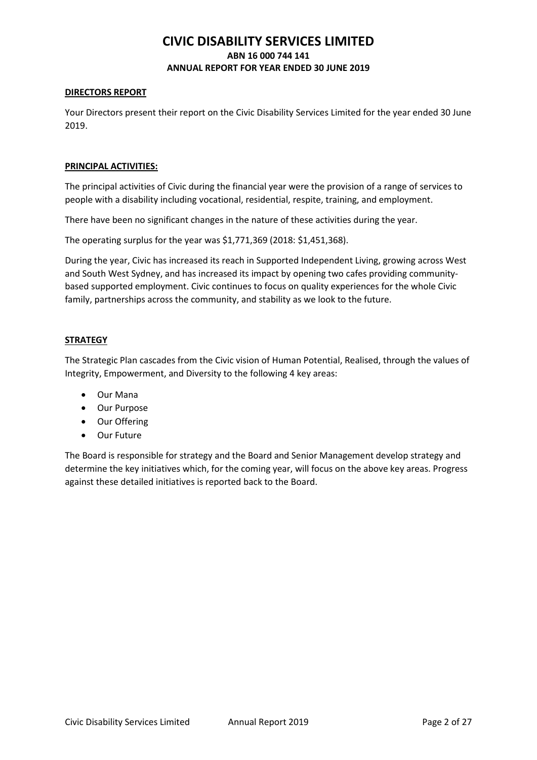### **DIRECTORS REPORT**

Your Directors present their report on the Civic Disability Services Limited for the year ended 30 June 2019.

### **PRINCIPAL ACTIVITIES:**

The principal activities of Civic during the financial year were the provision of a range of services to people with a disability including vocational, residential, respite, training, and employment.

There have been no significant changes in the nature of these activities during the year.

The operating surplus for the year was \$1,771,369 (2018: \$1,451,368).

During the year, Civic has increased its reach in Supported Independent Living, growing across West and South West Sydney, and has increased its impact by opening two cafes providing communitybased supported employment. Civic continues to focus on quality experiences for the whole Civic family, partnerships across the community, and stability as we look to the future.

## **STRATEGY**

The Strategic Plan cascades from the Civic vision of Human Potential, Realised, through the values of Integrity, Empowerment, and Diversity to the following 4 key areas:

- Our Mana
- Our Purpose
- Our Offering
- Our Future

The Board is responsible for strategy and the Board and Senior Management develop strategy and determine the key initiatives which, for the coming year, will focus on the above key areas. Progress against these detailed initiatives is reported back to the Board.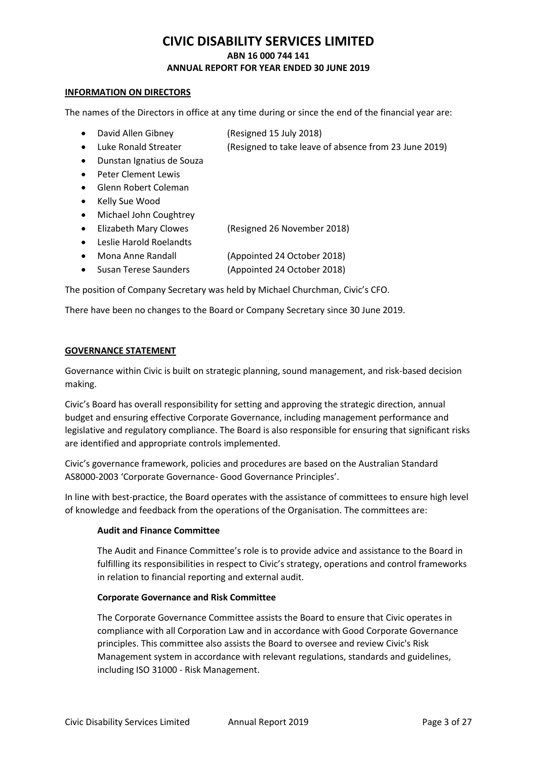### **INFORMATION ON DIRECTORS**

The names of the Directors in office at any time during or since the end of the financial year are:

- David Allen Gibney (Resigned 15 July 2018)
- Luke Ronald Streater (Resigned to take leave of absence from 23 June 2019)
- Dunstan Ignatius de Souza
- Peter Clement Lewis
- Glenn Robert Coleman
- Kelly Sue Wood
- Michael John Coughtrey
- Elizabeth Mary Clowes (Resigned 26 November 2018)
- Leslie Harold Roelandts
- Mona Anne Randall (Appointed 24 October 2018)
- Susan Terese Saunders (Appointed 24 October 2018)

The position of Company Secretary was held by Michael Churchman, Civic's CFO.

There have been no changes to the Board or Company Secretary since 30 June 2019.

## **GOVERNANCE STATEMENT**

Governance within Civic is built on strategic planning, sound management, and risk-based decision making.

Civic's Board has overall responsibility for setting and approving the strategic direction, annual budget and ensuring effective Corporate Governance, including management performance and legislative and regulatory compliance. The Board is also responsible for ensuring that significant risks are identified and appropriate controls implemented.

Civic's governance framework, policies and procedures are based on the Australian Standard AS8000-2003 'Corporate Governance- Good Governance Principles'.

In line with best-practice, the Board operates with the assistance of committees to ensure high level of knowledge and feedback from the operations of the Organisation. The committees are:

## **Audit and Finance Committee**

The Audit and Finance Committee's role is to provide advice and assistance to the Board in fulfilling its responsibilities in respect to Civic's strategy, operations and control frameworks in relation to financial reporting and external audit.

## **Corporate Governance and Risk Committee**

The Corporate Governance Committee assists the Board to ensure that Civic operates in compliance with all Corporation Law and in accordance with Good Corporate Governance principles. This committee also assists the Board to oversee and review Civic's Risk Management system in accordance with relevant regulations, standards and guidelines, including ISO 31000 - Risk Management.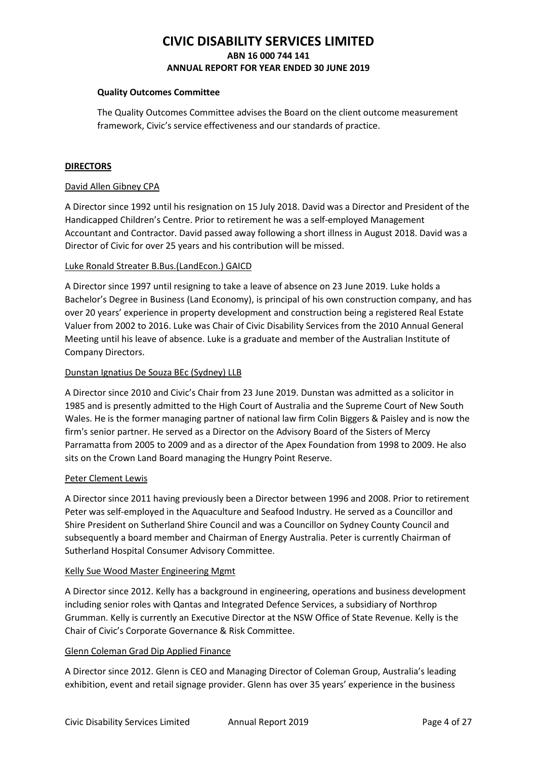### **Quality Outcomes Committee**

The Quality Outcomes Committee advises the Board on the client outcome measurement framework, Civic's service effectiveness and our standards of practice.

### **DIRECTORS**

### David Allen Gibney CPA

A Director since 1992 until his resignation on 15 July 2018. David was a Director and President of the Handicapped Children's Centre. Prior to retirement he was a self-employed Management Accountant and Contractor. David passed away following a short illness in August 2018. David was a Director of Civic for over 25 years and his contribution will be missed.

### Luke Ronald Streater B.Bus.(LandEcon.) GAICD

A Director since 1997 until resigning to take a leave of absence on 23 June 2019. Luke holds a Bachelor's Degree in Business (Land Economy), is principal of his own construction company, and has over 20 years' experience in property development and construction being a registered Real Estate Valuer from 2002 to 2016. Luke was Chair of Civic Disability Services from the 2010 Annual General Meeting until his leave of absence. Luke is a graduate and member of the Australian Institute of Company Directors.

### Dunstan Ignatius De Souza BEc (Sydney) LLB

A Director since 2010 and Civic's Chair from 23 June 2019. Dunstan was admitted as a solicitor in 1985 and is presently admitted to the High Court of Australia and the Supreme Court of New South Wales. He is the former managing partner of national law firm Colin Biggers & Paisley and is now the firm's senior partner. He served as a Director on the Advisory Board of the Sisters of Mercy Parramatta from 2005 to 2009 and as a director of the Apex Foundation from 1998 to 2009. He also sits on the Crown Land Board managing the Hungry Point Reserve.

### Peter Clement Lewis

A Director since 2011 having previously been a Director between 1996 and 2008. Prior to retirement Peter was self-employed in the Aquaculture and Seafood Industry. He served as a Councillor and Shire President on Sutherland Shire Council and was a Councillor on Sydney County Council and subsequently a board member and Chairman of Energy Australia. Peter is currently Chairman of Sutherland Hospital Consumer Advisory Committee.

### Kelly Sue Wood Master Engineering Mgmt

A Director since 2012. Kelly has a background in engineering, operations and business development including senior roles with Qantas and Integrated Defence Services, a subsidiary of Northrop Grumman. Kelly is currently an Executive Director at the NSW Office of State Revenue. Kelly is the Chair of Civic's Corporate Governance & Risk Committee.

## Glenn Coleman Grad Dip Applied Finance

A Director since 2012. Glenn is CEO and Managing Director of Coleman Group, Australia's leading exhibition, event and retail signage provider. Glenn has over 35 years' experience in the business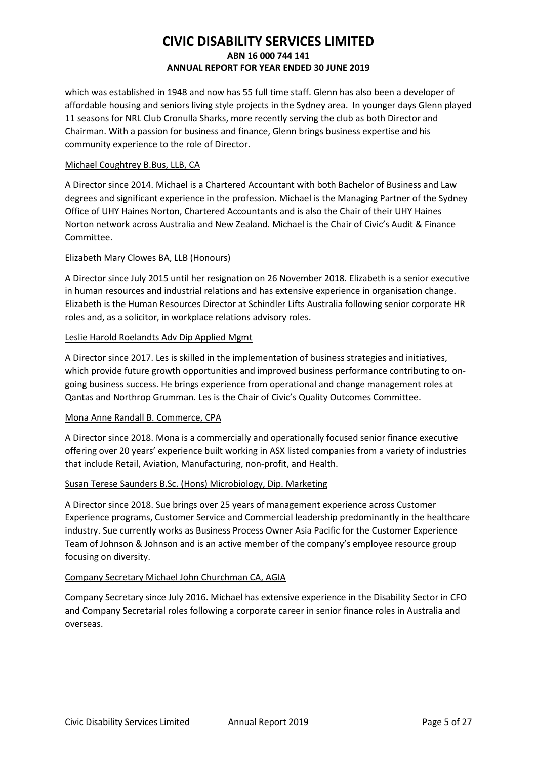which was established in 1948 and now has 55 full time staff. Glenn has also been a developer of affordable housing and seniors living style projects in the Sydney area. In younger days Glenn played 11 seasons for NRL Club Cronulla Sharks, more recently serving the club as both Director and Chairman. With a passion for business and finance, Glenn brings business expertise and his community experience to the role of Director.

## Michael Coughtrey B.Bus, LLB, CA

A Director since 2014. Michael is a Chartered Accountant with both Bachelor of Business and Law degrees and significant experience in the profession. Michael is the Managing Partner of the Sydney Office of UHY Haines Norton, Chartered Accountants and is also the Chair of their UHY Haines Norton network across Australia and New Zealand. Michael is the Chair of Civic's Audit & Finance Committee.

## Elizabeth Mary Clowes BA, LLB (Honours)

A Director since July 2015 until her resignation on 26 November 2018. Elizabeth is a senior executive in human resources and industrial relations and has extensive experience in organisation change. Elizabeth is the Human Resources Director at Schindler Lifts Australia following senior corporate HR roles and, as a solicitor, in workplace relations advisory roles.

## Leslie Harold Roelandts Adv Dip Applied Mgmt

A Director since 2017. Les is skilled in the implementation of business strategies and initiatives, which provide future growth opportunities and improved business performance contributing to ongoing business success. He brings experience from operational and change management roles at Qantas and Northrop Grumman. Les is the Chair of Civic's Quality Outcomes Committee.

## Mona Anne Randall B. Commerce, CPA

A Director since 2018. Mona is a commercially and operationally focused senior finance executive offering over 20 years' experience built working in ASX listed companies from a variety of industries that include Retail, Aviation, Manufacturing, non-profit, and Health.

## Susan Terese Saunders B.Sc. (Hons) Microbiology, Dip. Marketing

A Director since 2018. Sue brings over 25 years of management experience across Customer Experience programs, Customer Service and Commercial leadership predominantly in the healthcare industry. Sue currently works as Business Process Owner Asia Pacific for the Customer Experience Team of Johnson & Johnson and is an active member of the company's employee resource group focusing on diversity.

## Company Secretary Michael John Churchman CA, AGIA

Company Secretary since July 2016. Michael has extensive experience in the Disability Sector in CFO and Company Secretarial roles following a corporate career in senior finance roles in Australia and overseas.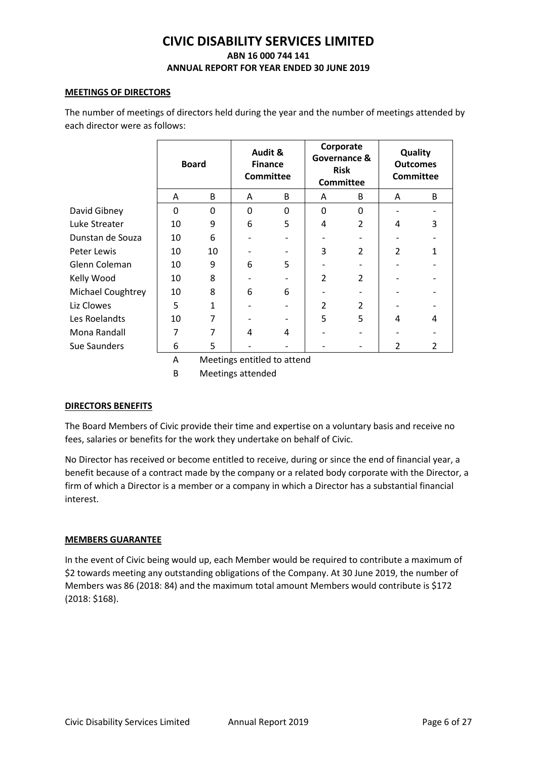### **MEETINGS OF DIRECTORS**

The number of meetings of directors held during the year and the number of meetings attended by each director were as follows:

|                   | <b>Board</b> |                                   |   | Audit &<br><b>Finance</b><br><b>Committee</b> |                | Corporate<br>Governance &<br><b>Risk</b><br><b>Committee</b> |                          | Quality<br><b>Outcomes</b><br><b>Committee</b> |
|-------------------|--------------|-----------------------------------|---|-----------------------------------------------|----------------|--------------------------------------------------------------|--------------------------|------------------------------------------------|
|                   | A            | B                                 | A | B                                             | A              | B                                                            | A                        | B                                              |
| David Gibney      | $\mathbf 0$  | $\mathbf 0$                       | 0 | 0                                             | 0              | $\Omega$                                                     |                          |                                                |
| Luke Streater     | 10           | 9                                 | 6 | 5                                             | 4              | $\mathcal{P}$                                                | 4                        | 3                                              |
| Dunstan de Souza  | 10           | 6                                 |   |                                               |                |                                                              |                          |                                                |
| Peter Lewis       | 10           | 10                                |   |                                               | 3              | $\overline{2}$                                               | $\overline{\mathcal{L}}$ |                                                |
| Glenn Coleman     | 10           | 9                                 | 6 | 5                                             |                |                                                              |                          |                                                |
| Kelly Wood        | 10           | 8                                 |   |                                               | $\overline{2}$ | $\overline{2}$                                               |                          |                                                |
| Michael Coughtrey | 10           | 8                                 | 6 | 6                                             |                |                                                              |                          |                                                |
| Liz Clowes        | 5            | $\mathbf{1}$                      |   |                                               | $\mathfrak z$  | $\mathcal{P}$                                                |                          |                                                |
| Les Roelandts     | 10           | 7                                 |   |                                               | 5              | 5                                                            | 4                        | 4                                              |
| Mona Randall      | 7            |                                   | 4 | 4                                             |                |                                                              |                          |                                                |
| Sue Saunders      | 6            | 5                                 |   |                                               |                |                                                              | $\overline{2}$           | 2                                              |
|                   |              | $\cdot$ .<br>$\ddot{\phantom{a}}$ |   | and the second the                            |                |                                                              |                          |                                                |

A Meetings entitled to attend

B Meetings attended

## **DIRECTORS BENEFITS**

The Board Members of Civic provide their time and expertise on a voluntary basis and receive no fees, salaries or benefits for the work they undertake on behalf of Civic.

No Director has received or become entitled to receive, during or since the end of financial year, a benefit because of a contract made by the company or a related body corporate with the Director, a firm of which a Director is a member or a company in which a Director has a substantial financial interest.

## **MEMBERS GUARANTEE**

In the event of Civic being would up, each Member would be required to contribute a maximum of \$2 towards meeting any outstanding obligations of the Company. At 30 June 2019, the number of Members was 86 (2018: 84) and the maximum total amount Members would contribute is \$172 (2018: \$168).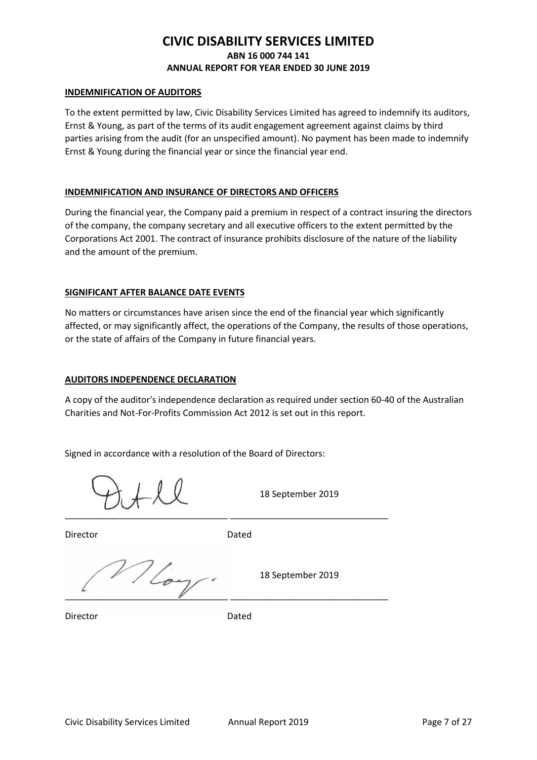### **INDEMNIFICATION OF AUDITORS**

To the extent permitted by law, Civic Disability Services Limited has agreed to indemnify its auditors, Ernst & Young, as part of the terms of its audit engagement agreement against claims by third parties arising from the audit (for an unspecified amount). No payment has been made to indemnify Ernst & Young during the financial year or since the financial year end.

### **INDEMNIFICATION AND INSURANCE OF DIRECTORS AND OFFICERS**

During the financial year, the Company paid a premium in respect of a contract insuring the directors of the company, the company secretary and all executive officers to the extent permitted by the Corporations Act 2001. The contract of insurance prohibits disclosure of the nature of the liability and the amount of the premium.

## **SIGNIFICANT AFTER BALANCE DATE EVENTS**

No matters or circumstances have arisen since the end of the financial year which significantly affected, or may significantly affect, the operations of the Company, the results of those operations, or the state of affairs of the Company in future financial years.

### **AUDITORS INDEPENDENCE DECLARATION**

A copy of the auditor's independence declaration as required under section 60-40 of the Australian Charities and Not-For-Profits Commission Act 2012 is set out in this report.

Signed in accordance with a resolution of the Board of Directors:

\_\_\_\_\_\_\_\_\_\_\_\_\_\_\_\_\_\_\_\_\_\_\_\_\_\_\_\_\_\_\_\_\_ \_\_\_\_\_\_\_\_\_\_\_\_\_\_\_\_\_\_\_\_\_\_\_\_\_\_\_\_\_\_\_\_

18 September 2019

Director **Dated** 

 $\frac{18}{204}$  18 September 2019  $\mathscr{L}$  , and the contract of the contract of the contract of the contract of the contract of the contract of the contract of the contract of the contract of the contract of the contract of the contract of the contract o

Director **Dated**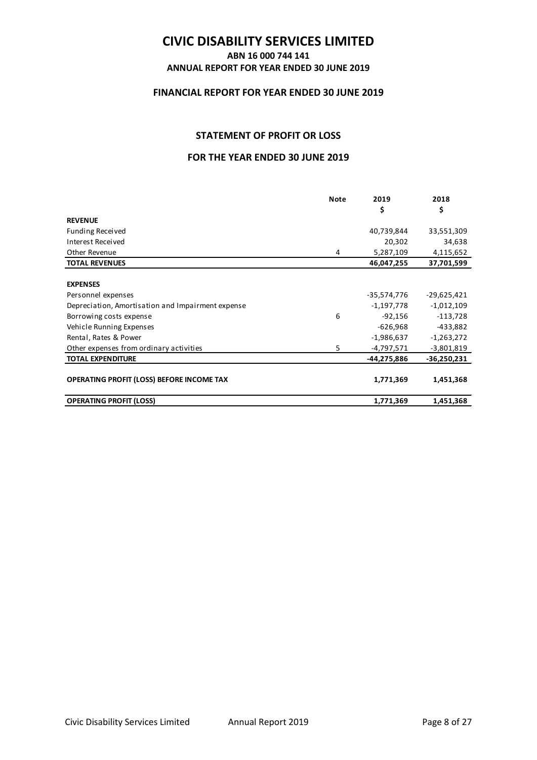## **ABN 16 000 744 141 ANNUAL REPORT FOR YEAR ENDED 30 JUNE 2019**

## **FINANCIAL REPORT FOR YEAR ENDED 30 JUNE 2019**

## **STATEMENT OF PROFIT OR LOSS**

## **FOR THE YEAR ENDED 30 JUNE 2019**

|                                                   | <b>Note</b> | 2019         | 2018          |
|---------------------------------------------------|-------------|--------------|---------------|
|                                                   |             | \$           | \$            |
| <b>REVENUE</b>                                    |             |              |               |
| <b>Funding Received</b>                           |             | 40,739,844   | 33,551,309    |
| Interest Received                                 |             | 20,302       | 34,638        |
| Other Revenue                                     | 4           | 5,287,109    | 4,115,652     |
| <b>TOTAL REVENUES</b>                             |             | 46,047,255   | 37,701,599    |
|                                                   |             |              |               |
| <b>EXPENSES</b>                                   |             |              |               |
| Personnel expenses                                |             | -35,574,776  | $-29,625,421$ |
| Depreciation, Amortisation and Impairment expense |             | $-1,197,778$ | $-1,012,109$  |
| Borrowing costs expense                           | 6           | $-92,156$    | $-113,728$    |
| Vehicle Running Expenses                          |             | $-626,968$   | -433,882      |
| Rental, Rates & Power                             |             | $-1,986,637$ | $-1,263,272$  |
| Other expenses from ordinary activities           | 5           | -4,797,571   | $-3,801,819$  |
| <b>TOTAL EXPENDITURE</b>                          |             | -44,275,886  | $-36,250,231$ |
|                                                   |             |              |               |
| OPERATING PROFIT (LOSS) BEFORE INCOME TAX         |             | 1,771,369    | 1,451,368     |
| <b>OPERATING PROFIT (LOSS)</b>                    |             | 1,771,369    | 1,451,368     |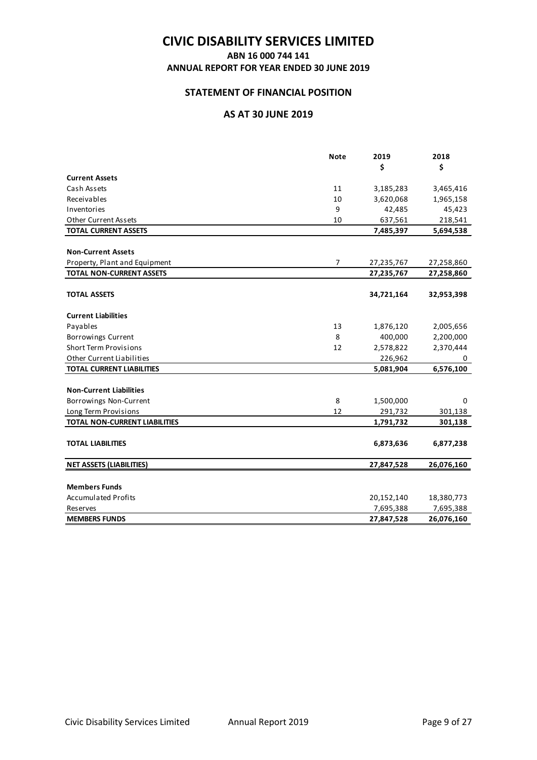## **ABN 16 000 744 141**

**ANNUAL REPORT FOR YEAR ENDED 30 JUNE 2019** 

## **STATEMENT OF FINANCIAL POSITION**

## **AS AT 30 JUNE 2019**

|                                      | <b>Note</b>    | 2019       | 2018       |
|--------------------------------------|----------------|------------|------------|
|                                      |                | \$         | \$         |
| <b>Current Assets</b>                |                |            |            |
| Cash Assets                          | 11             | 3,185,283  | 3,465,416  |
| Receivables                          | 10             | 3,620,068  | 1,965,158  |
| Inventories                          | 9              | 42,485     | 45,423     |
| <b>Other Current Assets</b>          | 10             | 637,561    | 218,541    |
| <b>TOTAL CURRENT ASSETS</b>          |                | 7,485,397  | 5,694,538  |
|                                      |                |            |            |
| <b>Non-Current Assets</b>            |                |            |            |
| Property, Plant and Equipment        | $\overline{7}$ | 27,235,767 | 27,258,860 |
| <b>TOTAL NON-CURRENT ASSETS</b>      |                | 27,235,767 | 27,258,860 |
|                                      |                |            |            |
| <b>TOTAL ASSETS</b>                  |                | 34,721,164 | 32,953,398 |
|                                      |                |            |            |
| <b>Current Liabilities</b>           |                |            |            |
| Payables                             | 13             | 1,876,120  | 2,005,656  |
| Borrowings Current                   | 8              | 400,000    | 2,200,000  |
| <b>Short Term Provisions</b>         | 12             | 2,578,822  | 2,370,444  |
| Other Current Liabilities            |                | 226,962    | 0          |
| <b>TOTAL CURRENT LIABILITIES</b>     |                | 5,081,904  | 6,576,100  |
|                                      |                |            |            |
| <b>Non-Current Liabilities</b>       |                |            |            |
| Borrowings Non-Current               | 8              | 1,500,000  | 0          |
| Long Term Provisions                 | 12             | 291,732    | 301,138    |
| <b>TOTAL NON-CURRENT LIABILITIES</b> |                | 1,791,732  | 301,138    |
|                                      |                |            |            |
| <b>TOTAL LIABILITIES</b>             |                | 6,873,636  | 6,877,238  |
|                                      |                |            |            |
| <b>NET ASSETS (LIABILITIES)</b>      |                | 27,847,528 | 26,076,160 |
|                                      |                |            |            |
| <b>Members Funds</b>                 |                |            |            |
| <b>Accumulated Profits</b>           |                | 20,152,140 | 18,380,773 |
| <b>Reserves</b>                      |                | 7,695,388  | 7,695,388  |
| <b>MEMBERS FUNDS</b>                 |                | 27,847,528 | 26,076,160 |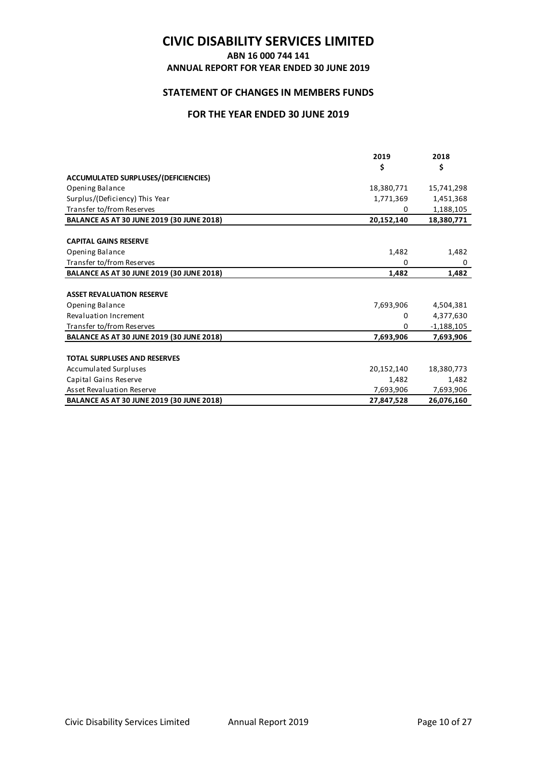### **ABN 16 000 744 141**

**ANNUAL REPORT FOR YEAR ENDED 30 JUNE 2019** 

## **STATEMENT OF CHANGES IN MEMBERS FUNDS**

## **FOR THE YEAR ENDED 30 JUNE 2019**

|                                                  | 2019       | 2018         |
|--------------------------------------------------|------------|--------------|
|                                                  | \$         | \$           |
| ACCUMULATED SURPLUSES/(DEFICIENCIES)             |            |              |
| Opening Balance                                  | 18,380,771 | 15,741,298   |
| Surplus/(Deficiency) This Year                   | 1,771,369  | 1,451,368    |
| Transfer to/from Reserves                        | 0          | 1,188,105    |
| <b>BALANCE AS AT 30 JUNE 2019 (30 JUNE 2018)</b> | 20,152,140 | 18,380,771   |
|                                                  |            |              |
| <b>CAPITAL GAINS RESERVE</b>                     |            |              |
| Opening Balance                                  | 1,482      | 1,482        |
| Transfer to/from Reserves                        | 0          | 0            |
| <b>BALANCE AS AT 30 JUNE 2019 (30 JUNE 2018)</b> | 1,482      | 1,482        |
|                                                  |            |              |
| <b>ASSET REVALUATION RESERVE</b>                 |            |              |
| Opening Balance                                  | 7,693,906  | 4,504,381    |
| Revaluation Increment                            | 0          | 4,377,630    |
| Transfer to/from Reserves                        | 0          | $-1,188,105$ |
| <b>BALANCE AS AT 30 JUNE 2019 (30 JUNE 2018)</b> | 7,693,906  | 7,693,906    |
|                                                  |            |              |
| <b>TOTAL SURPLUSES AND RESERVES</b>              |            |              |
| Accumulated Surpluses                            | 20,152,140 | 18,380,773   |
| Capital Gains Reserve                            | 1,482      | 1,482        |
| <b>Asset Revaluation Reserve</b>                 | 7,693,906  | 7,693,906    |
| <b>BALANCE AS AT 30 JUNE 2019 (30 JUNE 2018)</b> | 27,847,528 | 26,076,160   |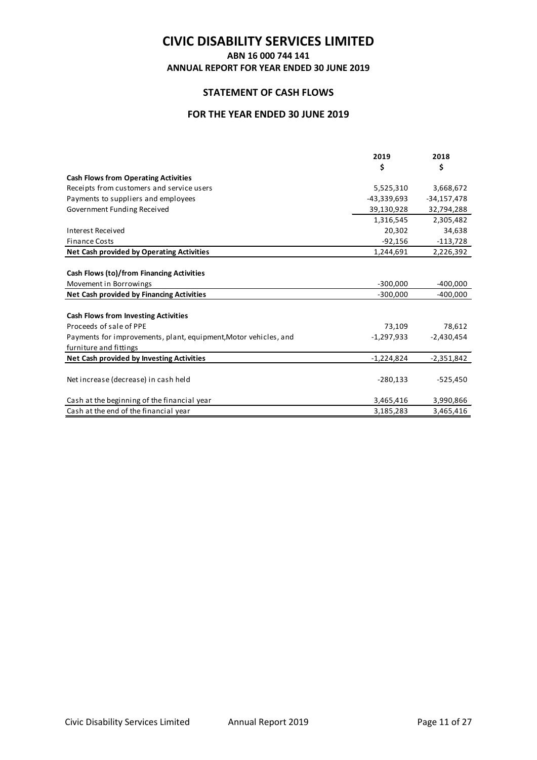**ABN 16 000 744 141**

**ANNUAL REPORT FOR YEAR ENDED 30 JUNE 2019** 

## **STATEMENT OF CASH FLOWS**

## **FOR THE YEAR ENDED 30 JUNE 2019**

|                                                                  | 2019         | 2018          |
|------------------------------------------------------------------|--------------|---------------|
|                                                                  | \$           | \$            |
| <b>Cash Flows from Operating Activities</b>                      |              |               |
| Receipts from customers and service users                        | 5,525,310    | 3,668,672     |
| Payments to suppliers and employees                              | -43,339,693  | $-34,157,478$ |
| Government Funding Received                                      | 39,130,928   | 32,794,288    |
|                                                                  | 1,316,545    | 2,305,482     |
| <b>Interest Received</b>                                         | 20,302       | 34,638        |
| <b>Finance Costs</b>                                             | $-92,156$    | -113,728      |
| <b>Net Cash provided by Operating Activities</b>                 | 1,244,691    | 2,226,392     |
|                                                                  |              |               |
| Cash Flows (to)/from Financing Activities                        |              |               |
| Movement in Borrowings                                           | $-300,000$   | $-400,000$    |
| Net Cash provided by Financing Activities                        | $-300,000$   | $-400,000$    |
|                                                                  |              |               |
| <b>Cash Flows from Investing Activities</b>                      |              |               |
| Proceeds of sale of PPE                                          | 73,109       | 78,612        |
| Payments for improvements, plant, equipment, Motor vehicles, and | $-1,297,933$ | $-2,430,454$  |
| furniture and fittings                                           |              |               |
| Net Cash provided by Investing Activities                        | $-1,224,824$ | $-2,351,842$  |
|                                                                  |              |               |
| Net increase (decrease) in cash held                             | $-280,133$   | $-525,450$    |
|                                                                  |              |               |
| Cash at the beginning of the financial year                      | 3,465,416    | 3,990,866     |
| Cash at the end of the financial year                            | 3,185,283    | 3,465,416     |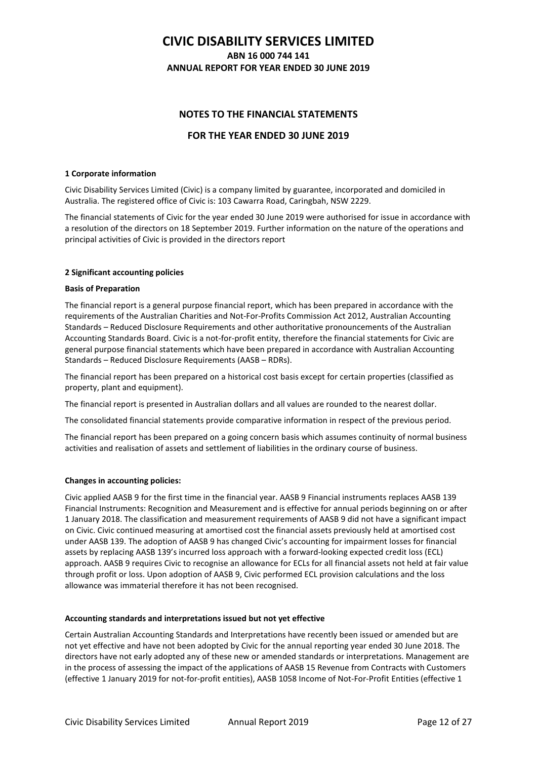## **CIVIC DISABILITY SERVICES LIMITED ABN 16 000 744 141**

**ANNUAL REPORT FOR YEAR ENDED 30 JUNE 2019** 

## **NOTES TO THE FINANCIAL STATEMENTS**

## **FOR THE YEAR ENDED 30 JUNE 2019**

#### **1 Corporate information**

Civic Disability Services Limited (Civic) is a company limited by guarantee, incorporated and domiciled in Australia. The registered office of Civic is: 103 Cawarra Road, Caringbah, NSW 2229.

The financial statements of Civic for the year ended 30 June 2019 were authorised for issue in accordance with a resolution of the directors on 18 September 2019. Further information on the nature of the operations and principal activities of Civic is provided in the directors report

#### **2 Significant accounting policies**

#### **Basis of Preparation**

The financial report is a general purpose financial report, which has been prepared in accordance with the requirements of the Australian Charities and Not-For-Profits Commission Act 2012, Australian Accounting Standards – Reduced Disclosure Requirements and other authoritative pronouncements of the Australian Accounting Standards Board. Civic is a not-for-profit entity, therefore the financial statements for Civic are general purpose financial statements which have been prepared in accordance with Australian Accounting Standards – Reduced Disclosure Requirements (AASB – RDRs).

The financial report has been prepared on a historical cost basis except for certain properties (classified as property, plant and equipment).

The financial report is presented in Australian dollars and all values are rounded to the nearest dollar.

The consolidated financial statements provide comparative information in respect of the previous period.

The financial report has been prepared on a going concern basis which assumes continuity of normal business activities and realisation of assets and settlement of liabilities in the ordinary course of business.

### **Changes in accounting policies:**

Civic applied AASB 9 for the first time in the financial year. AASB 9 Financial instruments replaces AASB 139 Financial Instruments: Recognition and Measurement and is effective for annual periods beginning on or after 1 January 2018. The classification and measurement requirements of AASB 9 did not have a significant impact on Civic. Civic continued measuring at amortised cost the financial assets previously held at amortised cost under AASB 139. The adoption of AASB 9 has changed Civic's accounting for impairment losses for financial assets by replacing AASB 139's incurred loss approach with a forward-looking expected credit loss (ECL) approach. AASB 9 requires Civic to recognise an allowance for ECLs for all financial assets not held at fair value through profit or loss. Upon adoption of AASB 9, Civic performed ECL provision calculations and the loss allowance was immaterial therefore it has not been recognised.

### **Accounting standards and interpretations issued but not yet effective**

Certain Australian Accounting Standards and Interpretations have recently been issued or amended but are not yet effective and have not been adopted by Civic for the annual reporting year ended 30 June 2018. The directors have not early adopted any of these new or amended standards or interpretations. Management are in the process of assessing the impact of the applications of AASB 15 Revenue from Contracts with Customers (effective 1 January 2019 for not-for-profit entities), AASB 1058 Income of Not-For-Profit Entities (effective 1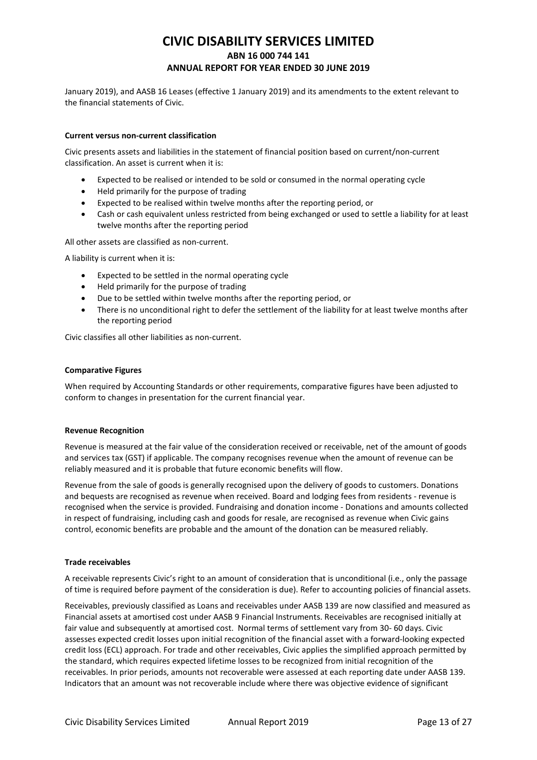January 2019), and AASB 16 Leases (effective 1 January 2019) and its amendments to the extent relevant to the financial statements of Civic.

#### **Current versus non-current classification**

Civic presents assets and liabilities in the statement of financial position based on current/non-current classification. An asset is current when it is:

- Expected to be realised or intended to be sold or consumed in the normal operating cycle
- Held primarily for the purpose of trading
- Expected to be realised within twelve months after the reporting period, or
- Cash or cash equivalent unless restricted from being exchanged or used to settle a liability for at least twelve months after the reporting period

All other assets are classified as non-current.

A liability is current when it is:

- Expected to be settled in the normal operating cycle
- Held primarily for the purpose of trading
- Due to be settled within twelve months after the reporting period, or
- There is no unconditional right to defer the settlement of the liability for at least twelve months after the reporting period

Civic classifies all other liabilities as non-current.

#### **Comparative Figures**

When required by Accounting Standards or other requirements, comparative figures have been adjusted to conform to changes in presentation for the current financial year.

#### **Revenue Recognition**

Revenue is measured at the fair value of the consideration received or receivable, net of the amount of goods and services tax (GST) if applicable. The company recognises revenue when the amount of revenue can be reliably measured and it is probable that future economic benefits will flow.

Revenue from the sale of goods is generally recognised upon the delivery of goods to customers. Donations and bequests are recognised as revenue when received. Board and lodging fees from residents - revenue is recognised when the service is provided. Fundraising and donation income - Donations and amounts collected in respect of fundraising, including cash and goods for resale, are recognised as revenue when Civic gains control, economic benefits are probable and the amount of the donation can be measured reliably.

#### **Trade receivables**

A receivable represents Civic's right to an amount of consideration that is unconditional (i.e., only the passage of time is required before payment of the consideration is due). Refer to accounting policies of financial assets.

Receivables, previously classified as Loans and receivables under AASB 139 are now classified and measured as Financial assets at amortised cost under AASB 9 Financial Instruments. Receivables are recognised initially at fair value and subsequently at amortised cost. Normal terms of settlement vary from 30- 60 days. Civic assesses expected credit losses upon initial recognition of the financial asset with a forward-looking expected credit loss (ECL) approach. For trade and other receivables, Civic applies the simplified approach permitted by the standard, which requires expected lifetime losses to be recognized from initial recognition of the receivables. In prior periods, amounts not recoverable were assessed at each reporting date under AASB 139. Indicators that an amount was not recoverable include where there was objective evidence of significant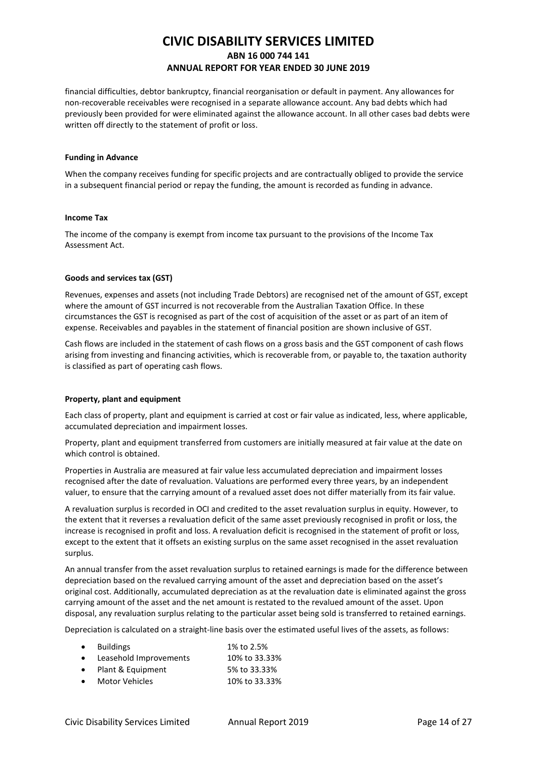financial difficulties, debtor bankruptcy, financial reorganisation or default in payment. Any allowances for non-recoverable receivables were recognised in a separate allowance account. Any bad debts which had previously been provided for were eliminated against the allowance account. In all other cases bad debts were written off directly to the statement of profit or loss.

#### **Funding in Advance**

When the company receives funding for specific projects and are contractually obliged to provide the service in a subsequent financial period or repay the funding, the amount is recorded as funding in advance.

#### **Income Tax**

The income of the company is exempt from income tax pursuant to the provisions of the Income Tax Assessment Act.

### **Goods and services tax (GST)**

Revenues, expenses and assets (not including Trade Debtors) are recognised net of the amount of GST, except where the amount of GST incurred is not recoverable from the Australian Taxation Office. In these circumstances the GST is recognised as part of the cost of acquisition of the asset or as part of an item of expense. Receivables and payables in the statement of financial position are shown inclusive of GST.

Cash flows are included in the statement of cash flows on a gross basis and the GST component of cash flows arising from investing and financing activities, which is recoverable from, or payable to, the taxation authority is classified as part of operating cash flows.

### **Property, plant and equipment**

Each class of property, plant and equipment is carried at cost or fair value as indicated, less, where applicable, accumulated depreciation and impairment losses.

Property, plant and equipment transferred from customers are initially measured at fair value at the date on which control is obtained.

Properties in Australia are measured at fair value less accumulated depreciation and impairment losses recognised after the date of revaluation. Valuations are performed every three years, by an independent valuer, to ensure that the carrying amount of a revalued asset does not differ materially from its fair value.

A revaluation surplus is recorded in OCI and credited to the asset revaluation surplus in equity. However, to the extent that it reverses a revaluation deficit of the same asset previously recognised in profit or loss, the increase is recognised in profit and loss. A revaluation deficit is recognised in the statement of profit or loss, except to the extent that it offsets an existing surplus on the same asset recognised in the asset revaluation surplus.

An annual transfer from the asset revaluation surplus to retained earnings is made for the difference between depreciation based on the revalued carrying amount of the asset and depreciation based on the asset's original cost. Additionally, accumulated depreciation as at the revaluation date is eliminated against the gross carrying amount of the asset and the net amount is restated to the revalued amount of the asset. Upon disposal, any revaluation surplus relating to the particular asset being sold is transferred to retained earnings.

Depreciation is calculated on a straight-line basis over the estimated useful lives of the assets, as follows:

| $\bullet$ | <b>Buildings</b>       | 1% to 2.5%    |
|-----------|------------------------|---------------|
| $\bullet$ | Leasehold Improvements | 10% to 33.33% |
|           | Plant & Equipment      | 5% to 33.33%  |
| $\bullet$ | <b>Motor Vehicles</b>  | 10% to 33.33% |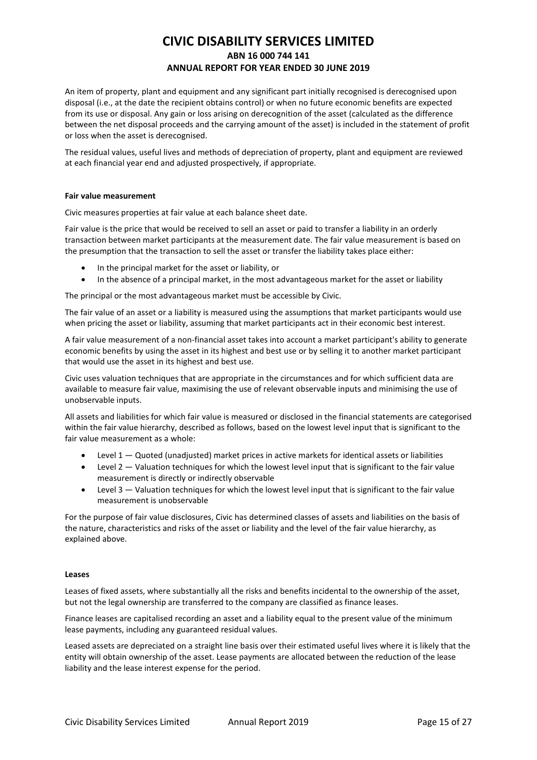An item of property, plant and equipment and any significant part initially recognised is derecognised upon disposal (i.e., at the date the recipient obtains control) or when no future economic benefits are expected from its use or disposal. Any gain or loss arising on derecognition of the asset (calculated as the difference between the net disposal proceeds and the carrying amount of the asset) is included in the statement of profit or loss when the asset is derecognised.

The residual values, useful lives and methods of depreciation of property, plant and equipment are reviewed at each financial year end and adjusted prospectively, if appropriate.

#### **Fair value measurement**

Civic measures properties at fair value at each balance sheet date.

Fair value is the price that would be received to sell an asset or paid to transfer a liability in an orderly transaction between market participants at the measurement date. The fair value measurement is based on the presumption that the transaction to sell the asset or transfer the liability takes place either:

- In the principal market for the asset or liability, or
- In the absence of a principal market, in the most advantageous market for the asset or liability

The principal or the most advantageous market must be accessible by Civic.

The fair value of an asset or a liability is measured using the assumptions that market participants would use when pricing the asset or liability, assuming that market participants act in their economic best interest.

A fair value measurement of a non-financial asset takes into account a market participant's ability to generate economic benefits by using the asset in its highest and best use or by selling it to another market participant that would use the asset in its highest and best use.

Civic uses valuation techniques that are appropriate in the circumstances and for which sufficient data are available to measure fair value, maximising the use of relevant observable inputs and minimising the use of unobservable inputs.

All assets and liabilities for which fair value is measured or disclosed in the financial statements are categorised within the fair value hierarchy, described as follows, based on the lowest level input that is significant to the fair value measurement as a whole:

- Level  $1 -$  Quoted (unadjusted) market prices in active markets for identical assets or liabilities
- Level 2 Valuation techniques for which the lowest level input that is significant to the fair value measurement is directly or indirectly observable
- Level 3 Valuation techniques for which the lowest level input that is significant to the fair value measurement is unobservable

For the purpose of fair value disclosures, Civic has determined classes of assets and liabilities on the basis of the nature, characteristics and risks of the asset or liability and the level of the fair value hierarchy, as explained above.

#### **Leases**

Leases of fixed assets, where substantially all the risks and benefits incidental to the ownership of the asset, but not the legal ownership are transferred to the company are classified as finance leases.

Finance leases are capitalised recording an asset and a liability equal to the present value of the minimum lease payments, including any guaranteed residual values.

Leased assets are depreciated on a straight line basis over their estimated useful lives where it is likely that the entity will obtain ownership of the asset. Lease payments are allocated between the reduction of the lease liability and the lease interest expense for the period.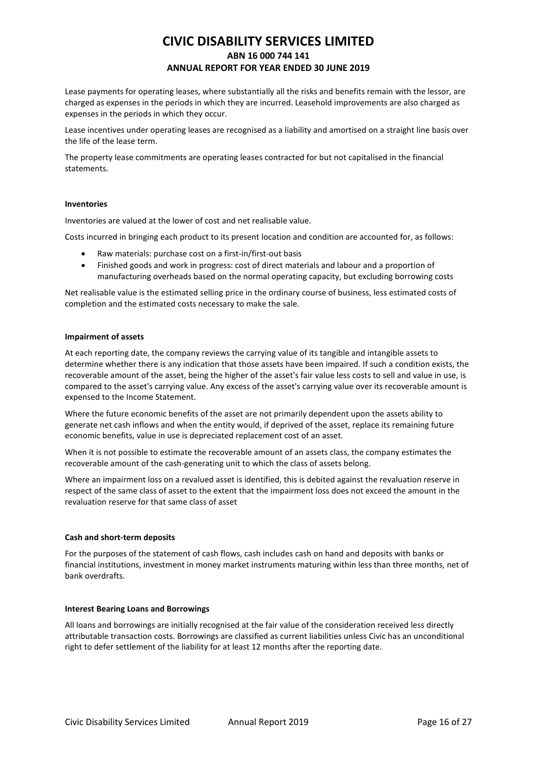Lease payments for operating leases, where substantially all the risks and benefits remain with the lessor, are charged as expenses in the periods in which they are incurred. Leasehold improvements are also charged as expenses in the periods in which they occur.

Lease incentives under operating leases are recognised as a liability and amortised on a straight line basis over the life of the lease term.

The property lease commitments are operating leases contracted for but not capitalised in the financial statements.

#### **Inventories**

Inventories are valued at the lower of cost and net realisable value.

Costs incurred in bringing each product to its present location and condition are accounted for, as follows:

- Raw materials: purchase cost on a first-in/first-out basis
- Finished goods and work in progress: cost of direct materials and labour and a proportion of manufacturing overheads based on the normal operating capacity, but excluding borrowing costs

Net realisable value is the estimated selling price in the ordinary course of business, less estimated costs of completion and the estimated costs necessary to make the sale.

#### **Impairment of assets**

At each reporting date, the company reviews the carrying value of its tangible and intangible assets to determine whether there is any indication that those assets have been impaired. If such a condition exists, the recoverable amount of the asset, being the higher of the asset's fair value less costs to sell and value in use, is compared to the asset's carrying value. Any excess of the asset's carrying value over its recoverable amount is expensed to the Income Statement.

Where the future economic benefits of the asset are not primarily dependent upon the assets ability to generate net cash inflows and when the entity would, if deprived of the asset, replace its remaining future economic benefits, value in use is depreciated replacement cost of an asset.

When it is not possible to estimate the recoverable amount of an assets class, the company estimates the recoverable amount of the cash-generating unit to which the class of assets belong.

Where an impairment loss on a revalued asset is identified, this is debited against the revaluation reserve in respect of the same class of asset to the extent that the impairment loss does not exceed the amount in the revaluation reserve for that same class of asset

### **Cash and short-term deposits**

For the purposes of the statement of cash flows, cash includes cash on hand and deposits with banks or financial institutions, investment in money market instruments maturing within less than three months, net of bank overdrafts.

#### **Interest Bearing Loans and Borrowings**

All loans and borrowings are initially recognised at the fair value of the consideration received less directly attributable transaction costs. Borrowings are classified as current liabilities unless Civic has an unconditional right to defer settlement of the liability for at least 12 months after the reporting date.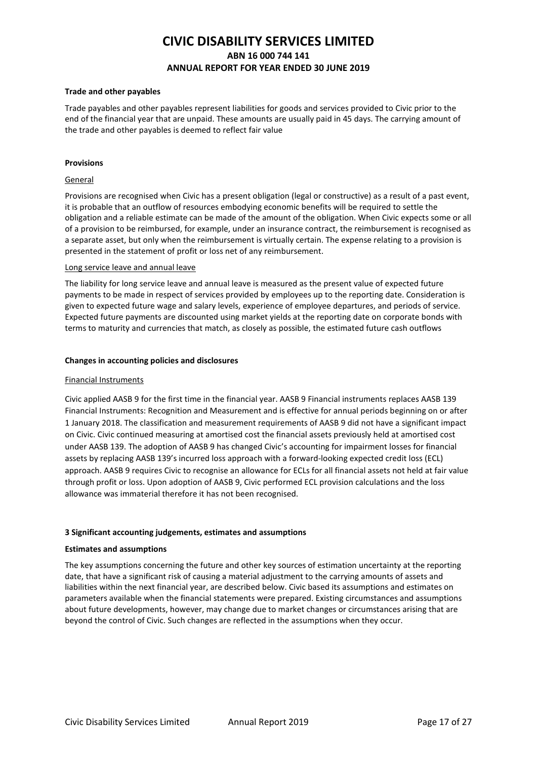#### **Trade and other payables**

Trade payables and other payables represent liabilities for goods and services provided to Civic prior to the end of the financial year that are unpaid. These amounts are usually paid in 45 days. The carrying amount of the trade and other payables is deemed to reflect fair value

#### **Provisions**

#### General

Provisions are recognised when Civic has a present obligation (legal or constructive) as a result of a past event, it is probable that an outflow of resources embodying economic benefits will be required to settle the obligation and a reliable estimate can be made of the amount of the obligation. When Civic expects some or all of a provision to be reimbursed, for example, under an insurance contract, the reimbursement is recognised as a separate asset, but only when the reimbursement is virtually certain. The expense relating to a provision is presented in the statement of profit or loss net of any reimbursement.

#### Long service leave and annual leave

The liability for long service leave and annual leave is measured as the present value of expected future payments to be made in respect of services provided by employees up to the reporting date. Consideration is given to expected future wage and salary levels, experience of employee departures, and periods of service. Expected future payments are discounted using market yields at the reporting date on corporate bonds with terms to maturity and currencies that match, as closely as possible, the estimated future cash outflows

#### **Changes in accounting policies and disclosures**

#### Financial Instruments

Civic applied AASB 9 for the first time in the financial year. AASB 9 Financial instruments replaces AASB 139 Financial Instruments: Recognition and Measurement and is effective for annual periods beginning on or after 1 January 2018. The classification and measurement requirements of AASB 9 did not have a significant impact on Civic. Civic continued measuring at amortised cost the financial assets previously held at amortised cost under AASB 139. The adoption of AASB 9 has changed Civic's accounting for impairment losses for financial assets by replacing AASB 139's incurred loss approach with a forward-looking expected credit loss (ECL) approach. AASB 9 requires Civic to recognise an allowance for ECLs for all financial assets not held at fair value through profit or loss. Upon adoption of AASB 9, Civic performed ECL provision calculations and the loss allowance was immaterial therefore it has not been recognised.

#### **3 Significant accounting judgements, estimates and assumptions**

#### **Estimates and assumptions**

The key assumptions concerning the future and other key sources of estimation uncertainty at the reporting date, that have a significant risk of causing a material adjustment to the carrying amounts of assets and liabilities within the next financial year, are described below. Civic based its assumptions and estimates on parameters available when the financial statements were prepared. Existing circumstances and assumptions about future developments, however, may change due to market changes or circumstances arising that are beyond the control of Civic. Such changes are reflected in the assumptions when they occur.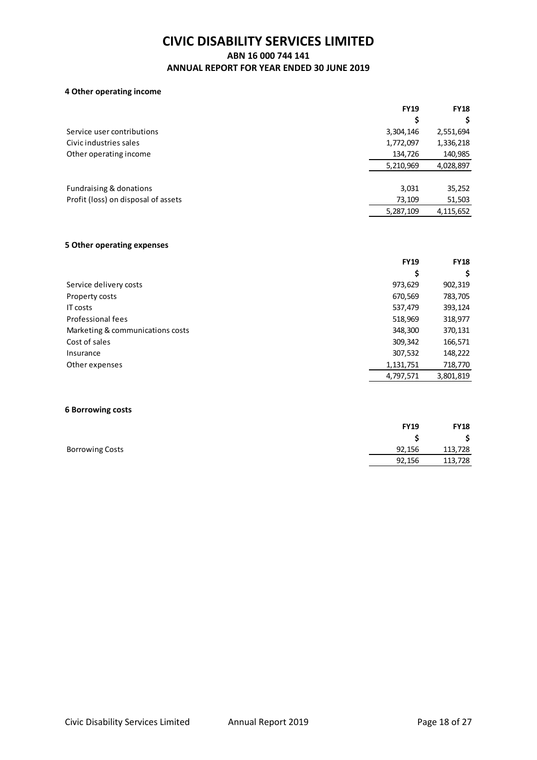## **ABN 16 000 744 141**

## **ANNUAL REPORT FOR YEAR ENDED 30 JUNE 2019**

### **4 Other operating income**

|                                     | <b>FY19</b> | <b>FY18</b> |
|-------------------------------------|-------------|-------------|
|                                     | \$          | \$          |
| Service user contributions          | 3,304,146   | 2,551,694   |
| Civic industries sales              | 1,772,097   | 1,336,218   |
| Other operating income              | 134,726     | 140,985     |
|                                     | 5,210,969   | 4,028,897   |
| Fundraising & donations             | 3,031       | 35,252      |
| Profit (loss) on disposal of assets | 73,109      | 51,503      |
|                                     | 5,287,109   | 4,115,652   |
|                                     |             |             |

### **5 Other operating expenses**

|                                  | <b>FY19</b> | <b>FY18</b> |
|----------------------------------|-------------|-------------|
|                                  | \$          | \$          |
| Service delivery costs           | 973,629     | 902,319     |
| Property costs                   | 670,569     | 783,705     |
| IT costs                         | 537,479     | 393,124     |
| Professional fees                | 518,969     | 318,977     |
| Marketing & communications costs | 348,300     | 370,131     |
| Cost of sales                    | 309,342     | 166,571     |
| Insurance                        | 307,532     | 148,222     |
| Other expenses                   | 1,131,751   | 718,770     |
|                                  | 4,797,571   | 3,801,819   |

### **6 Borrowing costs**

| <b>FY19</b> | <b>FY18</b> |
|-------------|-------------|
|             | \$          |
| 92,156      | 113,728     |
| 92,156      | 113,728     |
|             |             |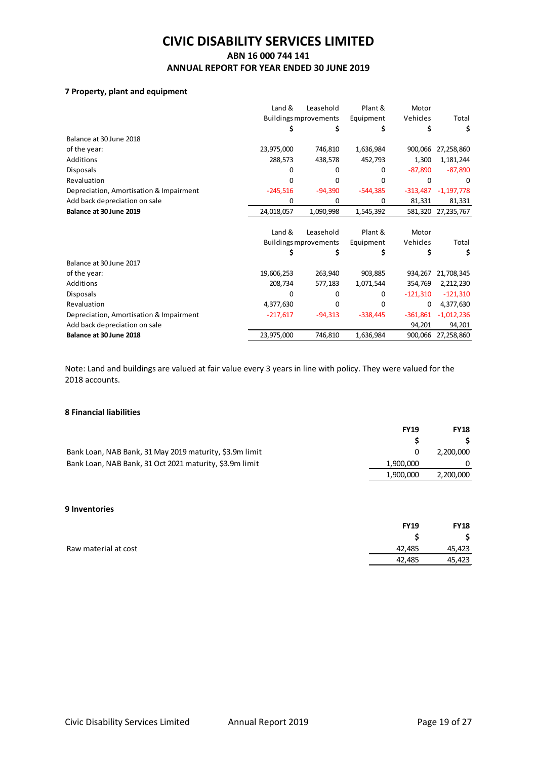## **ABN 16 000 744 141 ANNUAL REPORT FOR YEAR ENDED 30 JUNE 2019**

### **7 Property, plant and equipment**

|                                         | Land &     | Leasehold                    | Plant &    | Motor      |              |
|-----------------------------------------|------------|------------------------------|------------|------------|--------------|
|                                         |            | <b>Buildings mprovements</b> | Equipment  | Vehicles   | Total        |
|                                         |            | Ş                            |            |            | \$           |
| Balance at 30 June 2018                 |            |                              |            |            |              |
| of the year:                            | 23,975,000 | 746,810                      | 1,636,984  | 900,066    | 27,258,860   |
| Additions                               | 288,573    | 438,578                      | 452,793    | 1,300      | 1,181,244    |
| <b>Disposals</b>                        | O          | o                            | 0          | $-87,890$  | $-87,890$    |
| Revaluation                             | O          | n                            | 0          | O          | 0            |
| Depreciation, Amortisation & Impairment | $-245,516$ | $-94,390$                    | $-544,385$ | $-313,487$ | $-1,197,778$ |
| Add back depreciation on sale           | 0          | 0                            | 0          | 81,331     | 81,331       |
| Balance at 30 June 2019                 | 24,018,057 | 1,090,998                    | 1,545,392  | 581,320    | 27,235,767   |
|                                         | Land &     | Leasehold                    | Plant &    | Motor      |              |
|                                         |            | <b>Buildings mprovements</b> | Equipment  | Vehicles   | Total        |
|                                         |            | Ş                            | S          |            | \$           |
| Balance at 30 June 2017                 |            |                              |            |            |              |
| of the year:                            | 19,606,253 | 263,940                      | 903,885    | 934,267    | 21,708,345   |
| Additions                               | 208,734    | 577,183                      | 1,071,544  | 354,769    | 2,212,230    |
| <b>Disposals</b>                        | 0          | o                            | 0          | $-121,310$ | $-121,310$   |
| Revaluation                             | 4,377,630  | 0                            | 0          | 0          | 4,377,630    |
| Depreciation, Amortisation & Impairment | $-217,617$ | $-94,313$                    | $-338,445$ | $-361,861$ | $-1,012,236$ |
| Add back depreciation on sale           |            |                              |            | 94,201     | 94,201       |
| Balance at 30 June 2018                 | 23,975,000 | 746,810                      | 1,636,984  | 900,066    | 27,258,860   |

Note: Land and buildings are valued at fair value every 3 years in line with policy. They were valued for the 2018 accounts.

### **8 Financial liabilities**

|                                                         | <b>FY19</b> | <b>FY18</b> |
|---------------------------------------------------------|-------------|-------------|
|                                                         |             |             |
| Bank Loan, NAB Bank, 31 May 2019 maturity, \$3.9m limit |             | 2.200.000   |
| Bank Loan, NAB Bank, 31 Oct 2021 maturity, \$3.9m limit | 1.900.000   |             |
|                                                         | 1.900.000   | 2,200,000   |

### **9 Inventories**

|                      | <b>FY19</b> | <b>FY18</b> |
|----------------------|-------------|-------------|
|                      |             | \$.         |
| Raw material at cost | 42.485      | 45,423      |
|                      | 42.485      | 45,423      |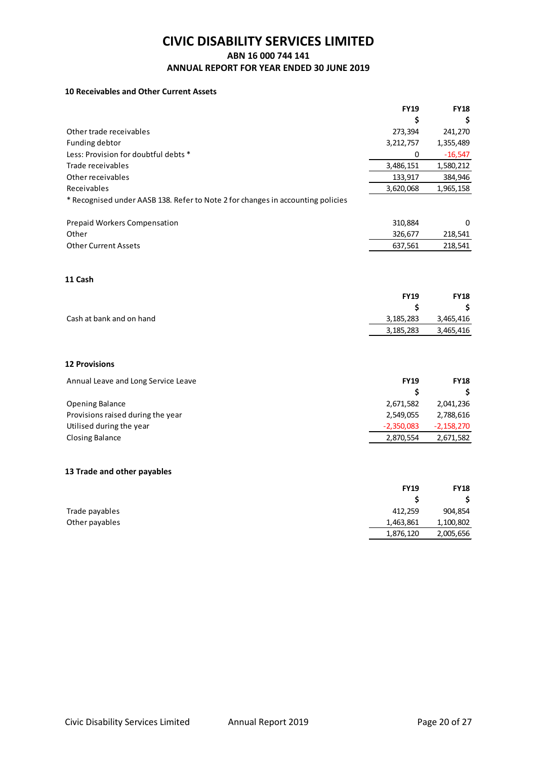### **ABN 16 000 744 141**

### **ANNUAL REPORT FOR YEAR ENDED 30 JUNE 2019**

## **10 Receivables and Other Current Assets**

|                                                                                 | <b>FY19</b>  | <b>FY18</b>  |
|---------------------------------------------------------------------------------|--------------|--------------|
|                                                                                 | \$           | Ś            |
| Other trade receivables                                                         | 273,394      | 241,270      |
| Funding debtor                                                                  | 3,212,757    | 1,355,489    |
| Less: Provision for doubtful debts *                                            | 0            | $-16,547$    |
| Trade receivables                                                               | 3,486,151    | 1,580,212    |
| Other receivables                                                               | 133,917      | 384,946      |
| Receivables                                                                     | 3,620,068    | 1,965,158    |
| * Recognised under AASB 138. Refer to Note 2 for changes in accounting policies |              |              |
| <b>Prepaid Workers Compensation</b>                                             | 310,884      | 0            |
| Other                                                                           | 326,677      | 218,541      |
| <b>Other Current Assets</b>                                                     | 637,561      | 218,541      |
| 11 Cash                                                                         |              |              |
|                                                                                 | <b>FY19</b>  | <b>FY18</b>  |
|                                                                                 | \$           | \$           |
| Cash at bank and on hand                                                        | 3,185,283    | 3,465,416    |
|                                                                                 | 3,185,283    | 3,465,416    |
| <b>12 Provisions</b>                                                            |              |              |
| Annual Leave and Long Service Leave                                             | <b>FY19</b>  | <b>FY18</b>  |
|                                                                                 | \$           | s            |
| <b>Opening Balance</b>                                                          | 2,671,582    | 2,041,236    |
| Provisions raised during the year                                               | 2,549,055    | 2,788,616    |
| Utilised during the year                                                        | $-2,350,083$ | $-2,158,270$ |
| <b>Closing Balance</b>                                                          | 2,870,554    | 2,671,582    |
| 13 Trade and other payables                                                     |              |              |
|                                                                                 | <b>FY19</b>  | <b>FY18</b>  |
|                                                                                 | \$           | S            |
| Trade payables                                                                  | 412,259      | 904,854      |
| Other payables                                                                  | 1,463,861    | 1,100,802    |
|                                                                                 | 1,876,120    | 2,005,656    |
|                                                                                 |              |              |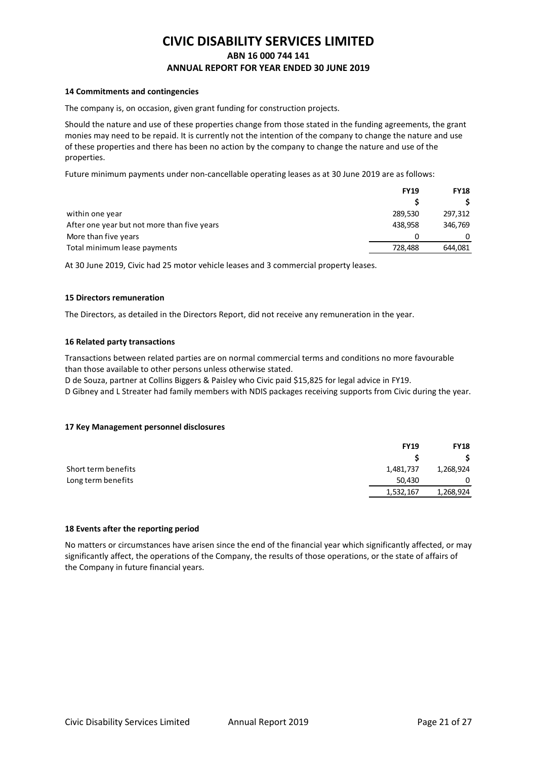#### **14 Commitments and contingencies**

The company is, on occasion, given grant funding for construction projects.

Should the nature and use of these properties change from those stated in the funding agreements, the grant monies may need to be repaid. It is currently not the intention of the company to change the nature and use of these properties and there has been no action by the company to change the nature and use of the properties.

Future minimum payments under non-cancellable operating leases as at 30 June 2019 are as follows:

|                                             | <b>FY19</b> | <b>FY18</b> |
|---------------------------------------------|-------------|-------------|
|                                             |             |             |
| within one year                             | 289,530     | 297,312     |
| After one year but not more than five years | 438.958     | 346,769     |
| More than five years                        | 0           | 0           |
| Total minimum lease payments                | 728.488     | 644,081     |

At 30 June 2019, Civic had 25 motor vehicle leases and 3 commercial property leases.

#### **15 Directors remuneration**

The Directors, as detailed in the Directors Report, did not receive any remuneration in the year.

#### **16 Related party transactions**

Transactions between related parties are on normal commercial terms and conditions no more favourable than those available to other persons unless otherwise stated.

D de Souza, partner at Collins Biggers & Paisley who Civic paid \$15,825 for legal advice in FY19.

D Gibney and L Streater had family members with NDIS packages receiving supports from Civic during the year.

#### **17 Key Management personnel disclosures**

|                     | <b>FY19</b> | <b>FY18</b> |
|---------------------|-------------|-------------|
|                     |             |             |
| Short term benefits | 1,481,737   | 1,268,924   |
| Long term benefits  | 50,430      | 0           |
|                     | 1,532,167   | 1,268,924   |
|                     |             |             |

### **18 Events after the reporting period**

No matters or circumstances have arisen since the end of the financial year which significantly affected, or may significantly affect, the operations of the Company, the results of those operations, or the state of affairs of the Company in future financial years.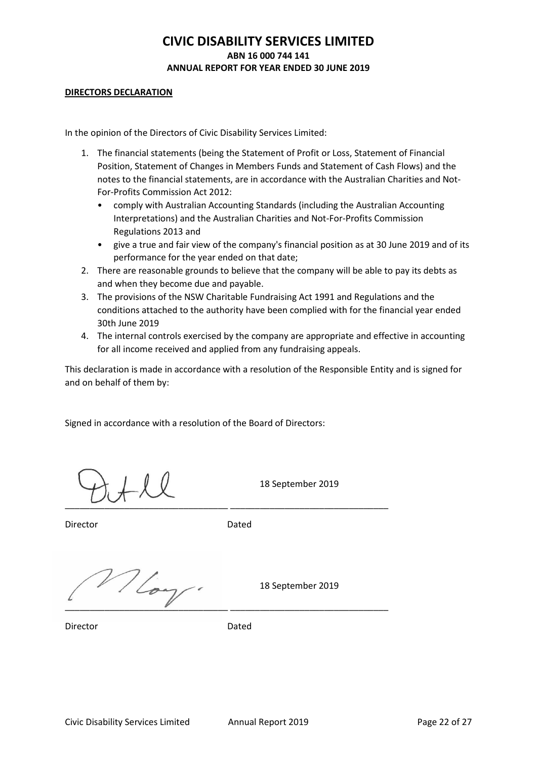### **DIRECTORS DECLARATION**

In the opinion of the Directors of Civic Disability Services Limited:

- 1. The financial statements (being the Statement of Profit or Loss, Statement of Financial Position, Statement of Changes in Members Funds and Statement of Cash Flows) and the notes to the financial statements, are in accordance with the Australian Charities and Not-For-Profits Commission Act 2012:
	- comply with Australian Accounting Standards (including the Australian Accounting Interpretations) and the Australian Charities and Not-For-Profits Commission Regulations 2013 and
	- give a true and fair view of the company's financial position as at 30 June 2019 and of its performance for the year ended on that date;
- 2. There are reasonable grounds to believe that the company will be able to pay its debts as and when they become due and payable.
- 3. The provisions of the NSW Charitable Fundraising Act 1991 and Regulations and the conditions attached to the authority have been complied with for the financial year ended 30th June 2019
- 4. The internal controls exercised by the company are appropriate and effective in accounting for all income received and applied from any fundraising appeals.

This declaration is made in accordance with a resolution of the Responsible Entity and is signed for and on behalf of them by:

Signed in accordance with a resolution of the Board of Directors:

 $\frac{1}{2}$  ,  $\frac{1}{2}$  ,  $\frac{1}{2}$  ,  $\frac{1}{2}$  ,  $\frac{1}{2}$  ,  $\frac{1}{2}$  ,  $\frac{1}{2}$  ,  $\frac{1}{2}$  ,  $\frac{1}{2}$  ,  $\frac{1}{2}$  ,  $\frac{1}{2}$  ,  $\frac{1}{2}$  ,  $\frac{1}{2}$  ,  $\frac{1}{2}$  ,  $\frac{1}{2}$  ,  $\frac{1}{2}$  ,  $\frac{1}{2}$  ,  $\frac{1}{2}$  ,  $\frac{1$ 

 $\bigvee$   $\bigvee$  18 September 2019

Director **Dated** 

 $\sqrt{2}$  18 September 2019 \_\_\_\_\_\_\_\_\_\_\_\_\_\_\_\_\_\_\_\_\_\_\_\_\_\_\_\_\_\_\_\_\_ \_\_\_\_\_\_\_\_\_\_\_\_\_\_\_\_\_\_\_\_\_\_\_\_\_\_\_\_\_\_\_\_

Director Dated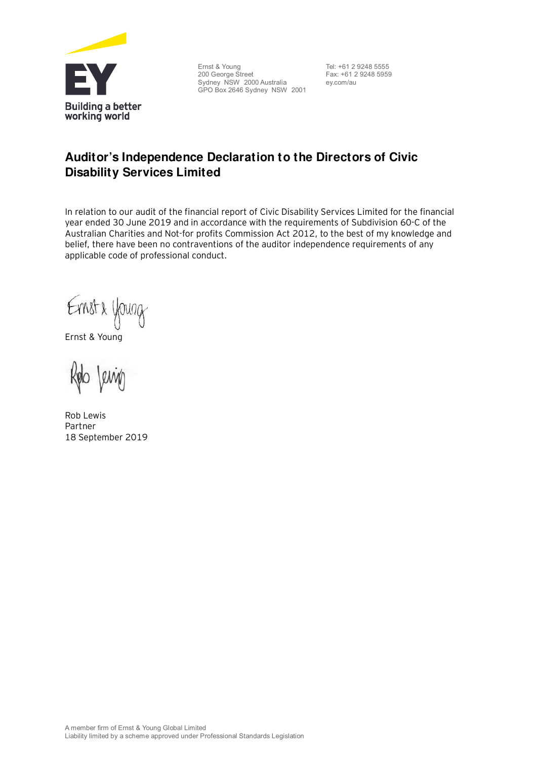

Ernst & Young 200 George Street Sydney NSW 2000 Australia GPO Box 2646 Sydney NSW 2001

Tel: +61 2 9248 5555 Fax: +61 2 9248 5959 ey.com/au

# **Auditor's Independence Declaration to the Directors of Civic Disability Services Limited**

In relation to our audit of the financial report of Civic Disability Services Limited for the financial year ended 30 June 2019 and in accordance with the requirements of Subdivision 60-C of the Australian Charities and Not-for profits Commission Act 2012, to the best of my knowledge and belief, there have been no contraventions of the auditor independence requirements of any applicable code of professional conduct.

Ernst & young

Ernst & Young

Rob Lewis Partner 18 September 2019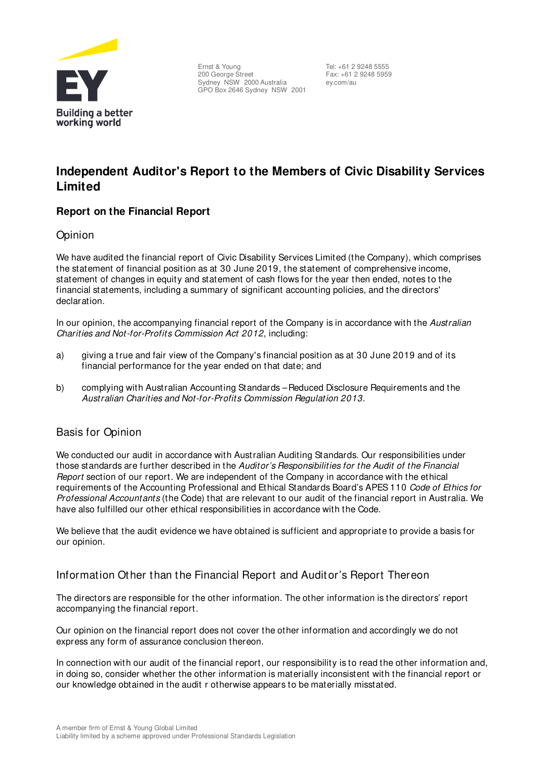

Ernst & Young 200 George Street Sydney NSW 2000 Australia GPO Box 2646 Sydney NSW 2001

 Tel: +61 2 9248 5555 Fax: +61 2 9248 5959 ey.com/au

# **Independent Auditor's Report to the Members of Civic Disability Services Limited**

## **Report on the Financial Report**

## Opinion

We have audited the financial report of Civic Disability Services Limited (the Company), which comprises the statement of financial position as at 30 June 2019, the statement of comprehensive income, statement of changes in equity and statement of cash flows for the year then ended, notes to the financial statements, including a summary of significant accounting policies, and the directors' declaration.

In our opinion, the accompanying financial report of the Company is in accordance with the Australian Charities and Not-for-Profits Commission Act 2012, including:

- a) giving a true and fair view of the Company's financial position as at 30 June 2019 and of its financial performance for the year ended on that date; and
- b) complying with Australian Accounting Standards Reduced Disclosure Requirements and the Australian Charities and Not-for-Profits Commission Regulation 2013.

## Basis for Opinion

We conducted our audit in accordance with Australian Auditing Standards. Our responsibilities under those standards are further described in the Auditor's Responsibilities for the Audit of the Financial Report section of our report. We are independent of the Company in accordance with the ethical requirements of the Accounting Professional and Ethical Standards Board's APES 110 Code of Ethics for Professional Accountants (the Code) that are relevant to our audit of the financial report in Australia. We have also fulfilled our other ethical responsibilities in accordance with the Code.

We believe that the audit evidence we have obtained is sufficient and appropriate to provide a basis for our opinion.

## Information Other than the Financial Report and Audit or's Report Thereon

The directors are responsible for the other information. The other information is the directors' report accompanying the financial report.

Our opinion on the financial report does not cover the other information and accordingly we do not express any form of assurance conclusion thereon.

In connection with our audit of the financial report, our responsibility is to read the other information and, in doing so, consider whether the other information is materially inconsistent with the financial report or our knowledge obtained in the audit r otherwise appears to be materially misstated.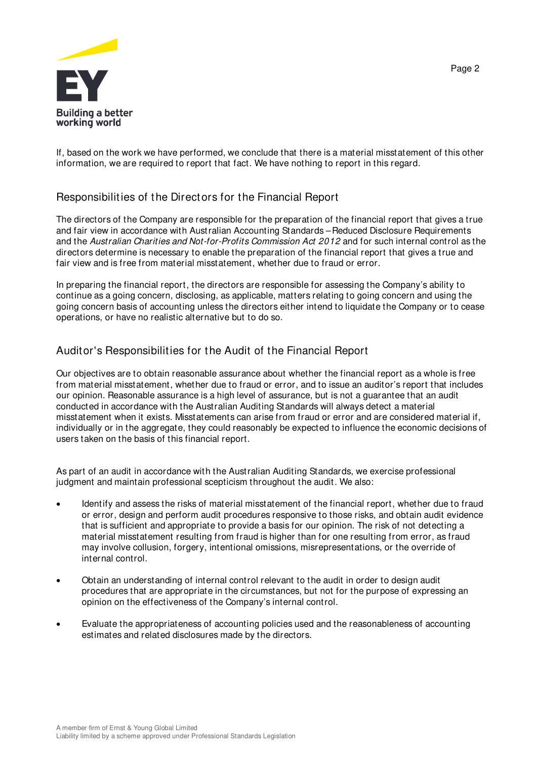

If, based on the work we have performed, we conclude that there is a material misstatement of this other information, we are required to report that fact. We have nothing to report in this regard.

## Responsibilities of the Directors for the Financial Report

The directors of the Company are responsible for the preparation of the financial report that gives a true and fair view in accordance with Australian Accounting Standards – Reduced Disclosure Requirements and the Australian Charities and Not-for-Profits Commission Act 2012 and for such internal control as the directors determine is necessary to enable the preparation of the financial report that gives a true and fair view and is free from material misstatement, whether due to fraud or error.

In preparing the financial report, the directors are responsible for assessing the Company's ability to continue as a going concern, disclosing, as applicable, matters relating to going concern and using the going concern basis of accounting unless the directors either intend to liquidate the Company or to cease operations, or have no realistic alternative but to do so.

## Auditor's Responsibilities for the Audit of the Financial Report

Our objectives are to obtain reasonable assurance about whether the financial report as a whole is free from material misstatement, whether due to fraud or error, and to issue an auditor's report that includes our opinion. Reasonable assurance is a high level of assurance, but is not a guarantee that an audit conducted in accordance with the Australian Auditing Standards will always detect a material misstatement when it exists. Misstatements can arise from fraud or error and are considered material if, individually or in the aggregate, they could reasonably be expected to influence the economic decisions of users taken on the basis of this financial report.

As part of an audit in accordance with the Australian Auditing Standards, we exercise professional judgment and maintain professional scepticism throughout the audit. We also:

- · Identify and assess the risks of material misstatement of the financial report, whether due to fraud or error, design and perform audit procedures responsive to those risks, and obtain audit evidence that is sufficient and appropriate to provide a basis for our opinion. The risk of not detecting a material misstatement resulting from fraud is higher than for one resulting from error, as fraud may involve collusion, forgery, intentional omissions, misrepresentations, or the override of internal control.
- · Obtain an understanding of internal control relevant to the audit in order to design audit procedures that are appropriate in the circumstances, but not for the purpose of expressing an opinion on the effectiveness of the Company's internal control.
- · Evaluate the appropriateness of accounting policies used and the reasonableness of accounting estimates and related disclosures made by the directors.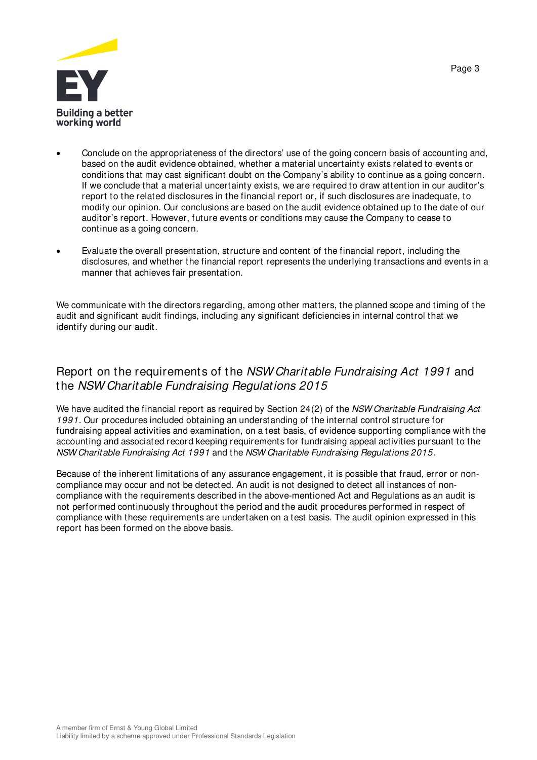



- · Conclude on the appropriateness of the directors' use of the going concern basis of accounting and, based on the audit evidence obtained, whether a material uncertainty exists related to events or conditions that may cast significant doubt on the Company's ability to continue as a going concern. If we conclude that a material uncertainty exists, we are required to draw attention in our auditor's report to the related disclosures in the financial report or, if such disclosures are inadequate, to modify our opinion. Our conclusions are based on the audit evidence obtained up to the date of our auditor's report. However, future events or conditions may cause the Company to cease to continue as a going concern.
- Evaluate the overall presentation, structure and content of the financial report, including the disclosures, and whether the financial report represents the underlying transactions and events in a manner that achieves fair presentation.

We communicate with the directors regarding, among other matters, the planned scope and timing of the audit and significant audit findings, including any significant deficiencies in internal control that we identify during our audit.

## Report on the requirements of the NSW Charitable Fundraising Act 1991 and the NSW Charitable Fundraising Regulations 2015

We have audited the financial report as required by Section 24(2) of the NSW Charitable Fundraising Act 1991. Our procedures included obtaining an understanding of the internal control structure for fundraising appeal activities and examination, on a test basis, of evidence supporting compliance with the accounting and associated record keeping requirements for fundraising appeal activities pursuant to the NSW Charitable Fundraising Act 1991 and the NSW Charitable Fundraising Regulations 2015.

Because of the inherent limitations of any assurance engagement, it is possible that fraud, error or noncompliance may occur and not be detected. An audit is not designed to detect all instances of noncompliance with the requirements described in the above-mentioned Act and Regulations as an audit is not performed continuously throughout the period and the audit procedures performed in respect of compliance with these requirements are undertaken on a test basis. The audit opinion expressed in this report has been formed on the above basis.